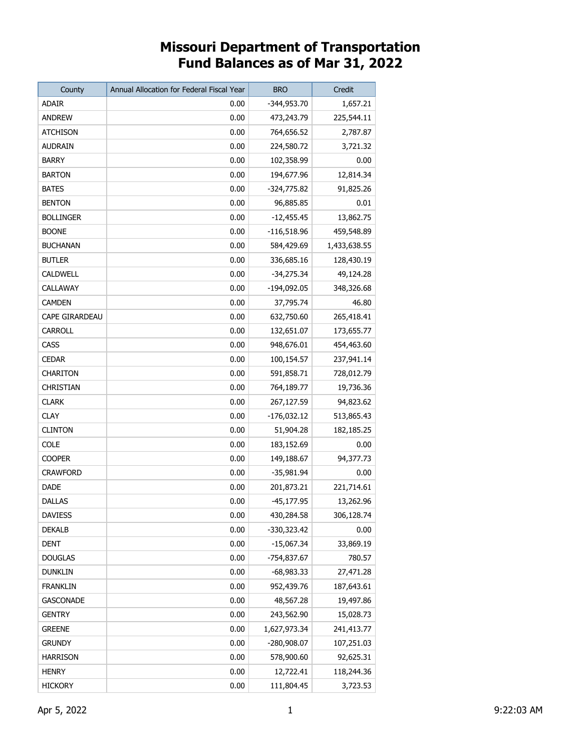## **Missouri Department of Transportation Fund Balances as of Mar 31, 2022**

| County           | Annual Allocation for Federal Fiscal Year | <b>BRO</b>    | Credit       |
|------------------|-------------------------------------------|---------------|--------------|
| <b>ADAIR</b>     | 0.00                                      | -344,953.70   | 1,657.21     |
| <b>ANDREW</b>    | 0.00                                      | 473,243.79    | 225,544.11   |
| <b>ATCHISON</b>  | 0.00                                      | 764,656.52    | 2,787.87     |
| <b>AUDRAIN</b>   | 0.00                                      | 224,580.72    | 3,721.32     |
| <b>BARRY</b>     | 0.00                                      | 102,358.99    | 0.00         |
| <b>BARTON</b>    | 0.00                                      | 194,677.96    | 12,814.34    |
| <b>BATES</b>     | 0.00                                      | -324,775.82   | 91,825.26    |
| <b>BENTON</b>    | 0.00                                      | 96,885.85     | 0.01         |
| <b>BOLLINGER</b> | 0.00                                      | $-12,455.45$  | 13,862.75    |
| <b>BOONE</b>     | 0.00                                      | $-116,518.96$ | 459,548.89   |
| <b>BUCHANAN</b>  | 0.00                                      | 584,429.69    | 1,433,638.55 |
| <b>BUTLER</b>    | 0.00                                      | 336,685.16    | 128,430.19   |
| CALDWELL         | 0.00                                      | -34,275.34    | 49,124.28    |
| CALLAWAY         | 0.00                                      | $-194,092.05$ | 348,326.68   |
| <b>CAMDEN</b>    | 0.00                                      | 37,795.74     | 46.80        |
| CAPE GIRARDEAU   | 0.00                                      | 632,750.60    | 265,418.41   |
| CARROLL          | 0.00                                      | 132,651.07    | 173,655.77   |
| CASS             | 0.00                                      | 948,676.01    | 454,463.60   |
| <b>CEDAR</b>     | 0.00                                      | 100,154.57    | 237,941.14   |
| <b>CHARITON</b>  | 0.00                                      | 591,858.71    | 728,012.79   |
| CHRISTIAN        | 0.00                                      | 764,189.77    | 19,736.36    |
| <b>CLARK</b>     | 0.00                                      | 267,127.59    | 94,823.62    |
| <b>CLAY</b>      | 0.00                                      | $-176,032.12$ | 513,865.43   |
| <b>CLINTON</b>   | 0.00                                      | 51,904.28     | 182, 185. 25 |
| <b>COLE</b>      | 0.00                                      | 183,152.69    | 0.00         |
| <b>COOPER</b>    | 0.00                                      | 149,188.67    | 94,377.73    |
| <b>CRAWFORD</b>  | 0.00                                      | -35,981.94    | 0.00         |
| DADE             | 0.00                                      | 201,873.21    | 221,714.61   |
| <b>DALLAS</b>    | 0.00                                      | $-45,177.95$  | 13,262.96    |
| <b>DAVIESS</b>   | 0.00                                      | 430,284.58    | 306,128.74   |
| <b>DEKALB</b>    | 0.00                                      | -330,323.42   | 0.00         |
| <b>DENT</b>      | 0.00                                      | $-15,067.34$  | 33,869.19    |
| <b>DOUGLAS</b>   | 0.00                                      | -754,837.67   | 780.57       |
| <b>DUNKLIN</b>   | 0.00                                      | $-68,983.33$  | 27,471.28    |
| <b>FRANKLIN</b>  | 0.00                                      | 952,439.76    | 187,643.61   |
| <b>GASCONADE</b> | 0.00                                      | 48,567.28     | 19,497.86    |
| <b>GENTRY</b>    | 0.00                                      | 243,562.90    | 15,028.73    |
| <b>GREENE</b>    | 0.00                                      | 1,627,973.34  | 241,413.77   |
| <b>GRUNDY</b>    | 0.00                                      | -280,908.07   | 107,251.03   |
| <b>HARRISON</b>  | 0.00                                      | 578,900.60    | 92,625.31    |
| <b>HENRY</b>     | 0.00                                      | 12,722.41     | 118,244.36   |
| <b>HICKORY</b>   | 0.00                                      | 111,804.45    | 3,723.53     |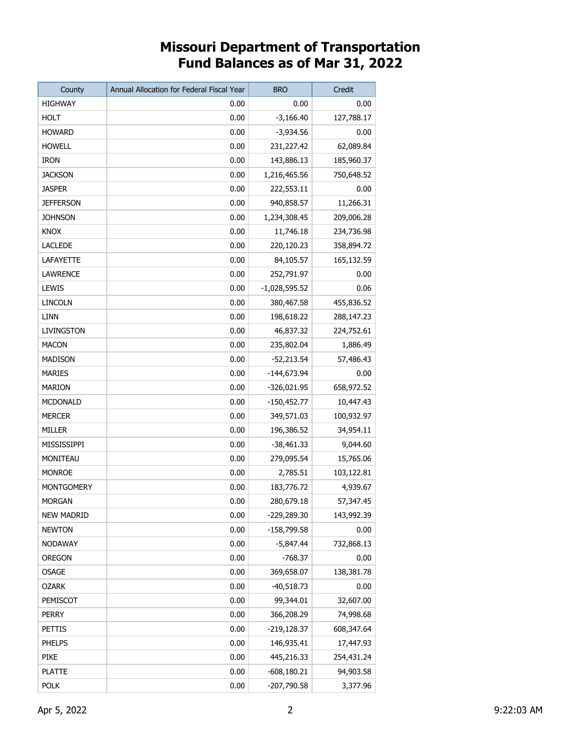## **Missouri Department of Transportation Fund Balances as of Mar 31, 2022**

| County            | Annual Allocation for Federal Fiscal Year | <b>BRO</b>      | Credit     |
|-------------------|-------------------------------------------|-----------------|------------|
| <b>HIGHWAY</b>    | 0.00                                      | 0.00            | 0.00       |
| <b>HOLT</b>       | 0.00                                      | $-3,166.40$     | 127,788.17 |
| <b>HOWARD</b>     | 0.00                                      | -3,934.56       | 0.00       |
| <b>HOWELL</b>     | 0.00                                      | 231,227.42      | 62,089.84  |
| <b>IRON</b>       | 0.00                                      | 143,886.13      | 185,960.37 |
| <b>JACKSON</b>    | 0.00                                      | 1,216,465.56    | 750,648.52 |
| <b>JASPER</b>     | 0.00                                      | 222,553.11      | 0.00       |
| <b>JEFFERSON</b>  | 0.00                                      | 940,858.57      | 11,266.31  |
| <b>JOHNSON</b>    | 0.00                                      | 1,234,308.45    | 209,006.28 |
| <b>KNOX</b>       | 0.00                                      | 11,746.18       | 234,736.98 |
| <b>LACLEDE</b>    | 0.00                                      | 220,120.23      | 358,894.72 |
| LAFAYETTE         | 0.00                                      | 84,105.57       | 165,132.59 |
| LAWRENCE          | 0.00                                      | 252,791.97      | 0.00       |
| LEWIS             | 0.00                                      | $-1,028,595.52$ | 0.06       |
| LINCOLN           | 0.00                                      | 380,467.58      | 455,836.52 |
| LINN              | 0.00                                      | 198,618.22      | 288,147.23 |
| LIVINGSTON        | 0.00                                      | 46,837.32       | 224,752.61 |
| <b>MACON</b>      | 0.00                                      | 235,802.04      | 1,886.49   |
| MADISON           | 0.00                                      | $-52,213.54$    | 57,486.43  |
| MARIES            | 0.00                                      | $-144,673.94$   | 0.00       |
| MARION            | 0.00                                      | -326,021.95     | 658,972.52 |
| MCDONALD          | 0.00                                      | $-150,452.77$   | 10,447.43  |
| MERCER            | 0.00                                      | 349,571.03      | 100,932.97 |
| MILLER            | 0.00                                      | 196,386.52      | 34,954.11  |
| MISSISSIPPI       | 0.00                                      | $-38,461.33$    | 9,044.60   |
| MONITEAU          | 0.00                                      | 279,095.54      | 15,765.06  |
| <b>MONROE</b>     | 0.00                                      | 2,785.51        | 103,122.81 |
| MONTGOMERY        | 0.00                                      | 183,776.72      | 4,939.67   |
| MORGAN            | 0.00                                      | 280,679.18      | 57,347.45  |
| <b>NEW MADRID</b> | 0.00                                      | -229,289.30     | 143,992.39 |
| <b>NEWTON</b>     | 0.00                                      | -158,799.58     | 0.00       |
| <b>NODAWAY</b>    | 0.00                                      | $-5,847.44$     | 732,868.13 |
| <b>OREGON</b>     | 0.00                                      | $-768.37$       | 0.00       |
| <b>OSAGE</b>      | 0.00                                      | 369,658.07      | 138,381.78 |
| <b>OZARK</b>      | 0.00                                      | $-40,518.73$    | 0.00       |
| PEMISCOT          | 0.00                                      | 99,344.01       | 32,607.00  |
| <b>PERRY</b>      | 0.00                                      | 366,208.29      | 74,998.68  |
| PETTIS            | 0.00                                      | $-219,128.37$   | 608,347.64 |
| <b>PHELPS</b>     | 0.00                                      | 146,935.41      | 17,447.93  |
| <b>PIKE</b>       | 0.00                                      | 445,216.33      | 254,431.24 |
| <b>PLATTE</b>     | 0.00                                      | $-608,180.21$   | 94,903.58  |
| <b>POLK</b>       | 0.00                                      | -207,790.58     | 3,377.96   |